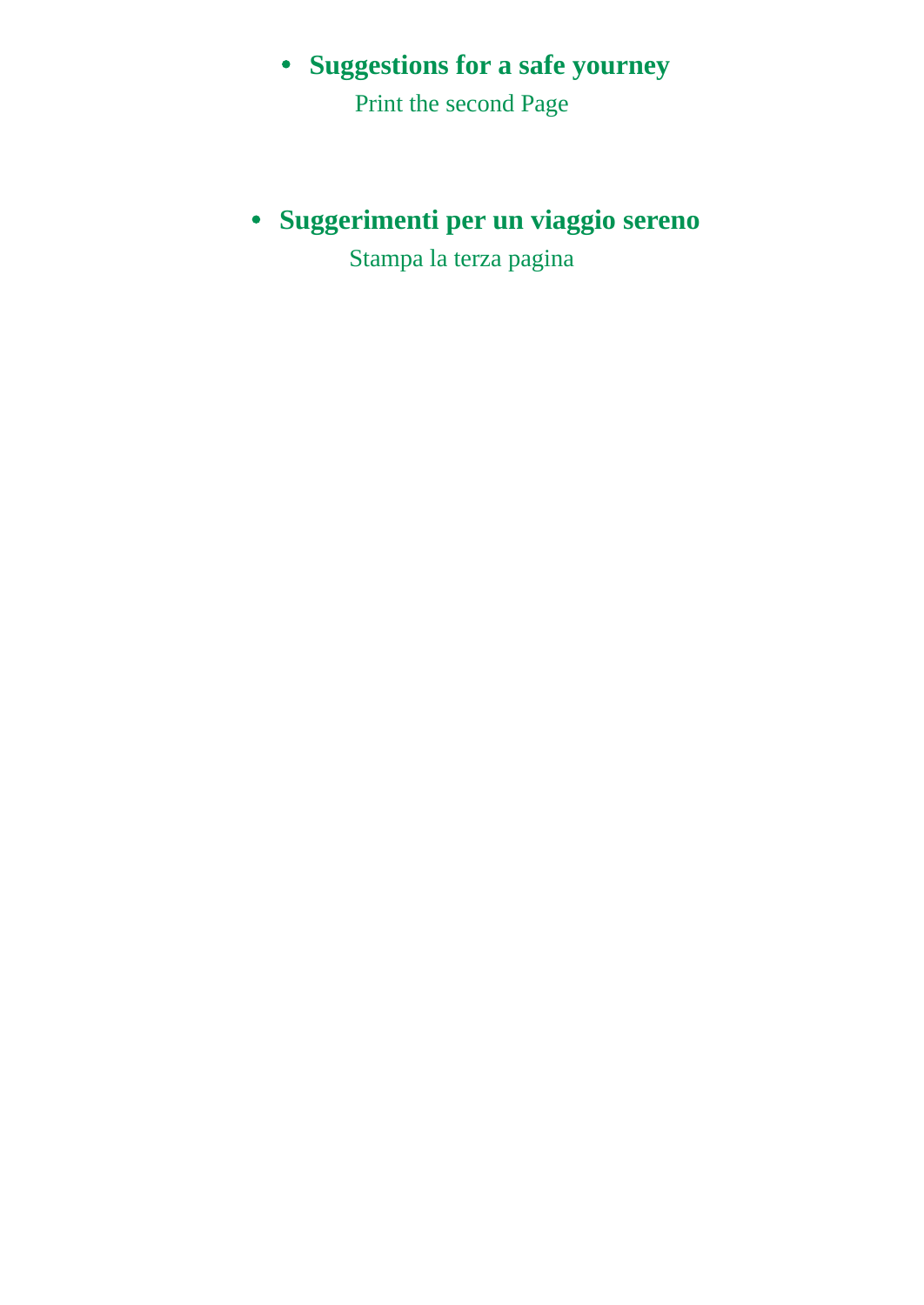# • **Suggestions for a safe yourney**

Print the second Page

# • **Suggerimenti per un viaggio sereno** Stampa la terza pagina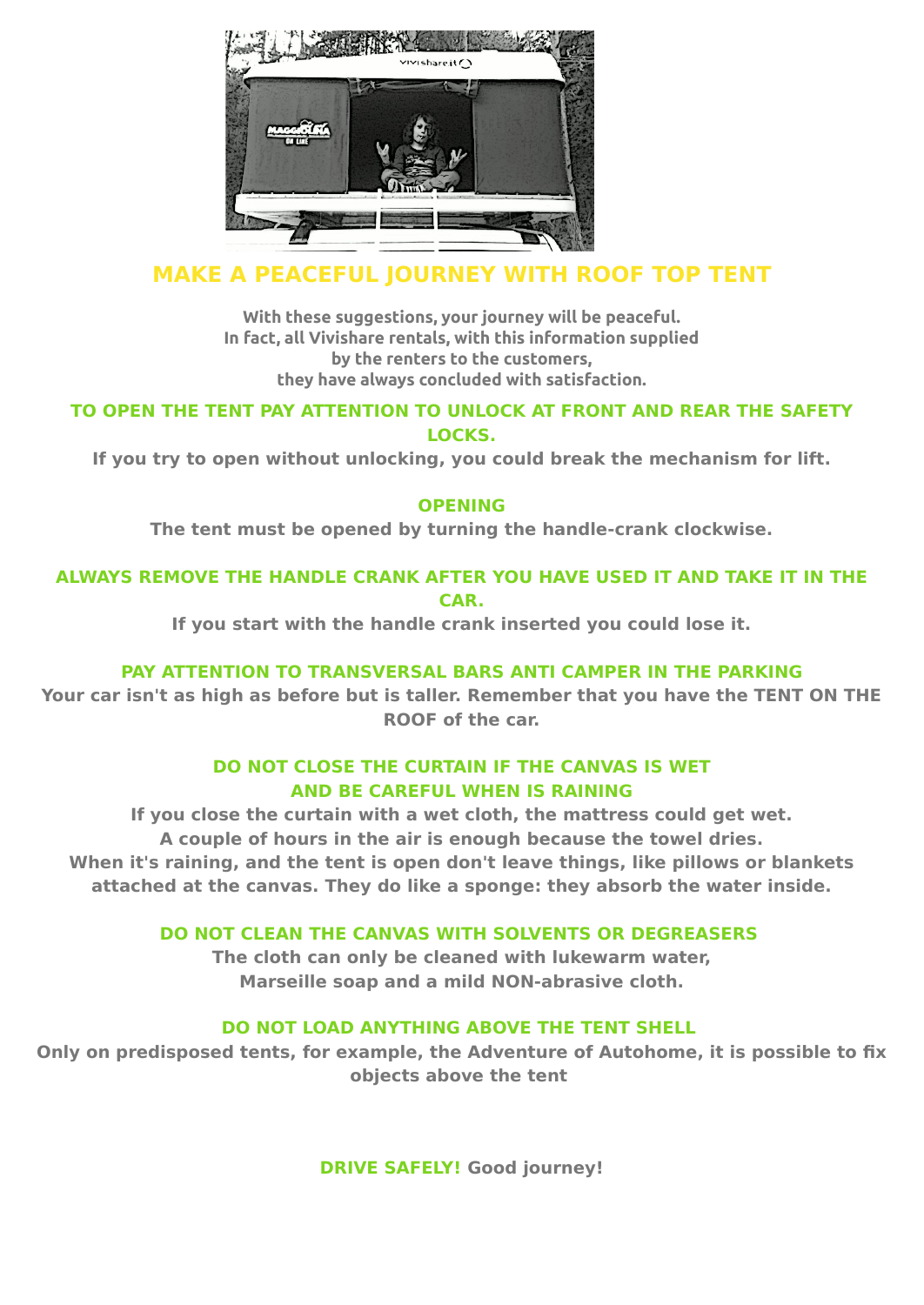

## **MAKE A PEACEFUL JOURNEY WITH ROOF TOP TENT**

**With these suggestions, your journey will be peaceful. In fact, all Vivishare rentals, with this information supplied by the renters to the customers, they have always concluded with satisfaction.**

#### **TO OPEN THE TENT PAY ATTENTION TO UNLOCK AT FRONT AND REAR THE SAFETY LOCKS.**

**If you try to open without unlocking, you could break the mechanism for lift.**

#### **OPENING**

**The tent must be opened by turning the handle-crank clockwise.**

#### **ALWAYS REMOVE THE HANDLE CRANK AFTER YOU HAVE USED IT AND TAKE IT IN THE CAR.**

**If you start with the handle crank inserted you could lose it.**

#### **PAY ATTENTION TO TRANSVERSAL BARS ANTI CAMPER IN THE PARKING**

**Your car isn't as high as before but is taller. Remember that you have the TENT ON THE ROOF of the car.**

#### **DO NOT CLOSE THE CURTAIN IF THE CANVAS IS WET AND BE CAREFUL WHEN IS RAINING**

**If you close the curtain with a wet cloth, the mattress could get wet. A couple of hours in the air is enough because the towel dries. When it's raining, and the tent is open don't leave things, like pillows or blankets attached at the canvas. They do like a sponge: they absorb the water inside.**

#### **DO NOT CLEAN THE CANVAS WITH SOLVENTS OR DEGREASERS**

**The cloth can only be cleaned with lukewarm water, Marseille soap and a mild NON-abrasive cloth.**

### **DO NOT LOAD ANYTHING ABOVE THE TENT SHELL**

**Only on predisposed tents, for example, the Adventure of Autohome, it is possible to fix objects above the tent** 

**DRIVE SAFELY! Good journey!**